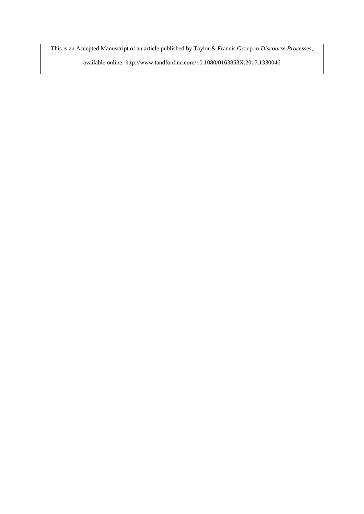This is an Accepted Manuscript of an article published by Taylor & Francis Group in *Discourse Processes*,

available online: http://www.tandfonline.com/10.1080/0163853X.2017.1330046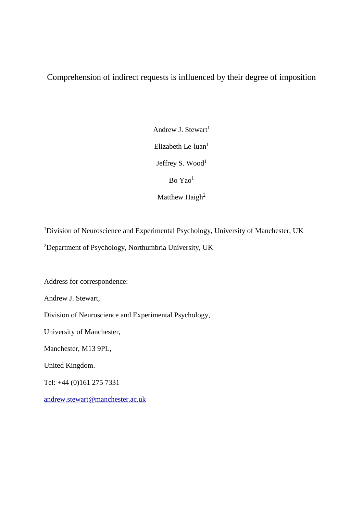Comprehension of indirect requests is influenced by their degree of imposition

Andrew J. Stewart<sup>1</sup> Elizabeth Le-luan $<sup>1</sup>$ </sup> Jeffrey S. Wood<sup>1</sup>  $Bo \, Ya<sup>1</sup>$ Matthew Haigh<sup>2</sup>

<sup>1</sup>Division of Neuroscience and Experimental Psychology, University of Manchester, UK <sup>2</sup>Department of Psychology, Northumbria University, UK

Address for correspondence:

Andrew J. Stewart,

Division of Neuroscience and Experimental Psychology,

University of Manchester,

Manchester, M13 9PL,

United Kingdom.

Tel: +44 (0)161 275 7331

[andrew.stewart@manchester.ac.uk](mailto:matthew.haigh@manchester.ac.uk)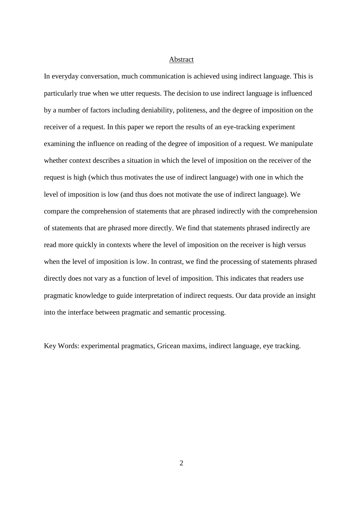#### I'M SURE WE CAN COME TO SOME SORT OF Abstract

ARRANGEMENT In everyday conversation, much communication is achieved using indirect language. This is particularly true when we utter requests. The decision to use indirect language is influenced by a number of factors including deniability, politeness, and the degree of imposition on the receiver of a request. In this paper we report the results of an eye-tracking experiment examining the influence on reading of the degree of imposition of a request. We manipulate whether context describes a situation in which the level of imposition on the receiver of the request is high (which thus motivates the use of indirect language) with one in which the level of imposition is low (and thus does not motivate the use of indirect language). We compare the comprehension of statements that are phrased indirectly with the comprehension of statements that are phrased more directly. We find that statements phrased indirectly are read more quickly in contexts where the level of imposition on the receiver is high versus when the level of imposition is low. In contrast, we find the processing of statements phrased directly does not vary as a function of level of imposition. This indicates that readers use pragmatic knowledge to guide interpretation of indirect requests. Our data provide an insight into the interface between pragmatic and semantic processing.

Key Words: experimental pragmatics, Gricean maxims, indirect language, eye tracking.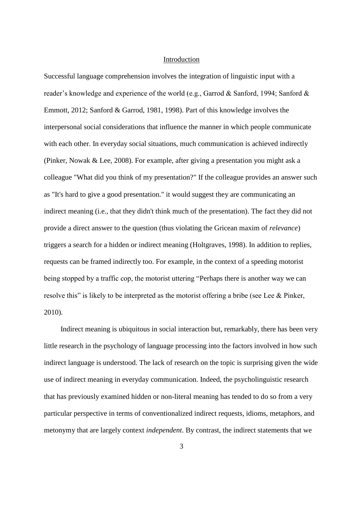## Introduction

Successful language comprehension involves the integration of linguistic input with a reader's knowledge and experience of the world (e.g., Garrod & Sanford, 1994; Sanford & Emmott, 2012; Sanford & Garrod, 1981, 1998). Part of this knowledge involves the interpersonal social considerations that influence the manner in which people communicate with each other. In everyday social situations, much communication is achieved indirectly (Pinker, Nowak & Lee, 2008). For example, after giving a presentation you might ask a colleague "What did you think of my presentation?" If the colleague provides an answer such as "It's hard to give a good presentation." it would suggest they are communicating an indirect meaning (i.e., that they didn't think much of the presentation). The fact they did not provide a direct answer to the question (thus violating the Gricean maxim of *relevance*) triggers a search for a hidden or indirect meaning (Holtgraves, 1998). In addition to replies, requests can be framed indirectly too. For example, in the context of a speeding motorist being stopped by a traffic cop, the motorist uttering "Perhaps there is another way we can resolve this" is likely to be interpreted as the motorist offering a bribe (see Lee & Pinker, 2010).

Indirect meaning is ubiquitous in social interaction but, remarkably, there has been very little research in the psychology of language processing into the factors involved in how such indirect language is understood. The lack of research on the topic is surprising given the wide use of indirect meaning in everyday communication. Indeed, the psycholinguistic research that has previously examined hidden or non-literal meaning has tended to do so from a very particular perspective in terms of conventionalized indirect requests, idioms, metaphors, and metonymy that are largely context *independent*. By contrast, the indirect statements that we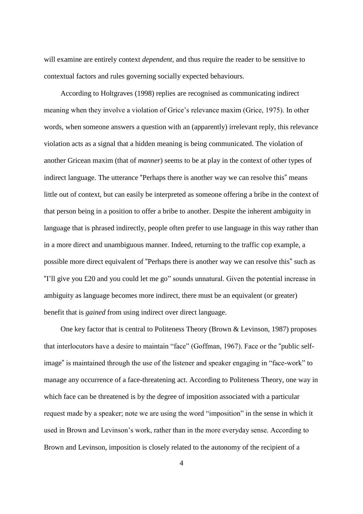I'M SURE WE CAN COME TO SOME SORT OF ARRANGEMENT will examine are entirely context *dependent*, and thus require the reader to be sensitive to contextual factors and rules governing socially expected behaviours.

According to Holtgraves (1998) replies are recognised as communicating indirect meaning when they involve a violation of Grice's relevance maxim (Grice, 1975). In other words, when someone answers a question with an (apparently) irrelevant reply, this relevance violation acts as a signal that a hidden meaning is being communicated. The violation of another Gricean maxim (that of *manner*) seems to be at play in the context of other types of indirect language. The utterance "Perhaps there is another way we can resolve this" means little out of context, but can easily be interpreted as someone offering a bribe in the context of that person being in a position to offer a bribe to another. Despite the inherent ambiguity in language that is phrased indirectly, people often prefer to use language in this way rather than in a more direct and unambiguous manner. Indeed, returning to the traffic cop example, a possible more direct equivalent of "Perhaps there is another way we can resolve this" such as "I'll give you £20 and you could let me go" sounds unnatural. Given the potential increase in ambiguity as language becomes more indirect, there must be an equivalent (or greater) benefit that is *gained* from using indirect over direct language.

One key factor that is central to Politeness Theory (Brown & Levinson, 1987) proposes that interlocutors have a desire to maintain "face" (Goffman, 1967). Face or the "public selfimage" is maintained through the use of the listener and speaker engaging in "face-work" to manage any occurrence of a face-threatening act. According to Politeness Theory, one way in which face can be threatened is by the degree of imposition associated with a particular request made by a speaker; note we are using the word "imposition" in the sense in which it used in Brown and Levinson's work, rather than in the more everyday sense. According to Brown and Levinson, imposition is closely related to the autonomy of the recipient of a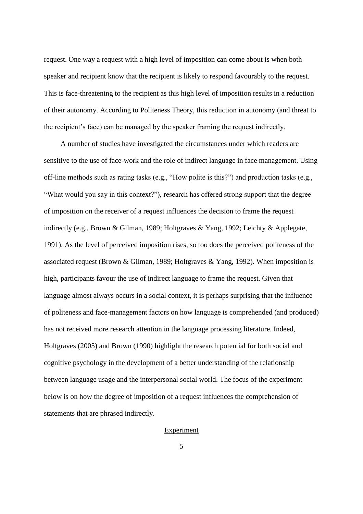request. One way a request with a high level of imposition can come about is when both speaker and recipient know that the recipient is likely to respond favourably to the request. This is face-threatening to the recipient as this high level of imposition results in a reduction of their autonomy. According to Politeness Theory, this reduction in autonomy (and threat to the recipient's face) can be managed by the speaker framing the request indirectly.

A number of studies have investigated the circumstances under which readers are sensitive to the use of face-work and the role of indirect language in face management. Using off-line methods such as rating tasks (e.g., "How polite is this?") and production tasks (e.g., "What would you say in this context?"), research has offered strong support that the degree of imposition on the receiver of a request influences the decision to frame the request indirectly (e.g., Brown & Gilman, 1989; Holtgraves & Yang, 1992; Leichty & Applegate, 1991). As the level of perceived imposition rises, so too does the perceived politeness of the associated request (Brown & Gilman, 1989; Holtgraves & Yang, 1992). When imposition is high, participants favour the use of indirect language to frame the request. Given that language almost always occurs in a social context, it is perhaps surprising that the influence of politeness and face-management factors on how language is comprehended (and produced) has not received more research attention in the language processing literature. Indeed, Holtgraves (2005) and Brown (1990) highlight the research potential for both social and cognitive psychology in the development of a better understanding of the relationship between language usage and the interpersonal social world. The focus of the experiment below is on how the degree of imposition of a request influences the comprehension of statements that are phrased indirectly.

# Experiment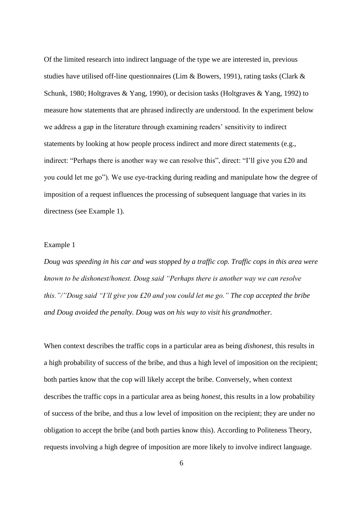I'M SURE WE CAN COME TO SOME SORT OF ARRANGEMENT Of the limited research into indirect language of the type we are interested in, previous studies have utilised off-line questionnaires (Lim & Bowers, 1991), rating tasks (Clark & Schunk, 1980; Holtgraves & Yang, 1990), or decision tasks (Holtgraves & Yang, 1992) to measure how statements that are phrased indirectly are understood. In the experiment below we address a gap in the literature through examining readers' sensitivity to indirect statements by looking at how people process indirect and more direct statements (e.g., indirect: "Perhaps there is another way we can resolve this", direct: "I'll give you £20 and you could let me go"). We use eye-tracking during reading and manipulate how the degree of imposition of a request influences the processing of subsequent language that varies in its directness (see Example 1).

# Example 1

*Doug was speeding in his car and was stopped by a traffic cop. Traffic cops in this area were known to be dishonest/honest. Doug said "Perhaps there is another way we can resolve this."/"Doug said "I'll give you £20 and you could let me go." The cop accepted the bribe and Doug avoided the penalty. Doug was on his way to visit his grandmother.*

When context describes the traffic cops in a particular area as being *dishonest*, this results in a high probability of success of the bribe, and thus a high level of imposition on the recipient; both parties know that the cop will likely accept the bribe. Conversely, when context describes the traffic cops in a particular area as being *honest*, this results in a low probability of success of the bribe, and thus a low level of imposition on the recipient; they are under no obligation to accept the bribe (and both parties know this). According to Politeness Theory, requests involving a high degree of imposition are more likely to involve indirect language.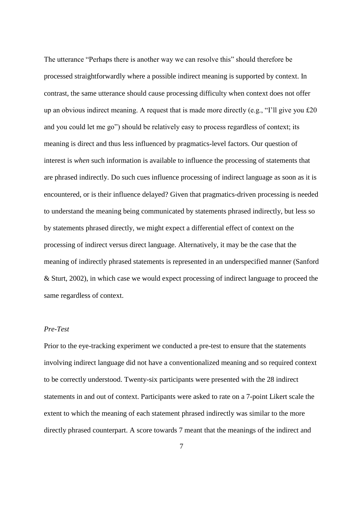The utterance "Perhaps there is another way we can resolve this" should therefore be processed straightforwardly where a possible indirect meaning is supported by context. In contrast, the same utterance should cause processing difficulty when context does not offer up an obvious indirect meaning. A request that is made more directly (e.g., "I'll give you £20 and you could let me go") should be relatively easy to process regardless of context; its meaning is direct and thus less influenced by pragmatics-level factors. Our question of interest is *when* such information is available to influence the processing of statements that are phrased indirectly. Do such cues influence processing of indirect language as soon as it is encountered, or is their influence delayed? Given that pragmatics-driven processing is needed to understand the meaning being communicated by statements phrased indirectly, but less so by statements phrased directly, we might expect a differential effect of context on the processing of indirect versus direct language. Alternatively, it may be the case that the meaning of indirectly phrased statements is represented in an underspecified manner (Sanford & Sturt, 2002), in which case we would expect processing of indirect language to proceed the same regardless of context.

## *Pre-Test*

Prior to the eye-tracking experiment we conducted a pre-test to ensure that the statements involving indirect language did not have a conventionalized meaning and so required context to be correctly understood. Twenty-six participants were presented with the 28 indirect statements in and out of context. Participants were asked to rate on a 7-point Likert scale the extent to which the meaning of each statement phrased indirectly was similar to the more directly phrased counterpart. A score towards 7 meant that the meanings of the indirect and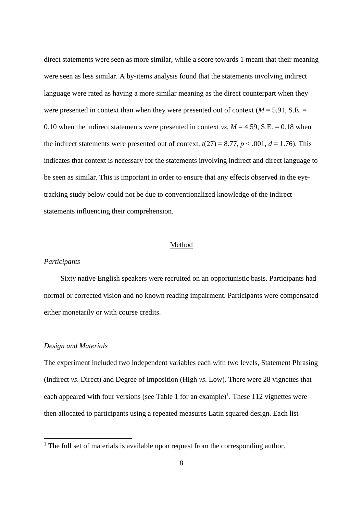I'M SURE WE CAN COME TO SOME SORT OF ARRANGEMENT direct statements were seen as more similar, while a score towards 1 meant that their meaning were seen as less similar. A by-items analysis found that the statements involving indirect language were rated as having a more similar meaning as the direct counterpart when they were presented in context than when they were presented out of context ( $M = 5.91$ , S.E.  $=$ 0.10 when the indirect statements were presented in context *vs.*  $M = 4.59$ , S.E. = 0.18 when the indirect statements were presented out of context,  $t(27) = 8.77$ ,  $p < .001$ ,  $d = 1.76$ ). This indicates that context is necessary for the statements involving indirect and direct language to be seen as similar. This is important in order to ensure that any effects observed in the eyetracking study below could not be due to conventionalized knowledge of the indirect statements influencing their comprehension.

# Method

# *Participants*

Sixty native English speakers were recruited on an opportunistic basis. Participants had normal or corrected vision and no known reading impairment. Participants were compensated either monetarily or with course credits.

# *Design and Materials*

 $\overline{a}$ 

The experiment included two independent variables each with two levels, Statement Phrasing (Indirect *vs*. Direct) and Degree of Imposition (High *vs*. Low). There were 28 vignettes that each appeared with four versions (see Table 1 for an example)<sup>1</sup>. These 112 vignettes were then allocated to participants using a repeated measures Latin squared design. Each list

<sup>&</sup>lt;sup>1</sup> The full set of materials is available upon request from the corresponding author.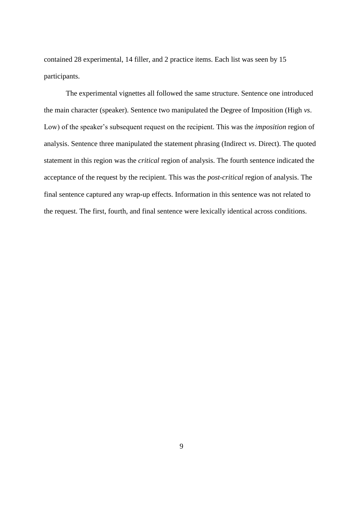contained 28 experimental, 14 filler, and 2 practice items. Each list was seen by 15 participants.

The experimental vignettes all followed the same structure. Sentence one introduced the main character (speaker). Sentence two manipulated the Degree of Imposition (High *vs*. Low) of the speaker's subsequent request on the recipient. This was the *imposition* region of analysis. Sentence three manipulated the statement phrasing (Indirect *vs*. Direct). The quoted statement in this region was the *critical* region of analysis. The fourth sentence indicated the acceptance of the request by the recipient. This was the *post-critical* region of analysis. The final sentence captured any wrap-up effects. Information in this sentence was not related to the request. The first, fourth, and final sentence were lexically identical across conditions.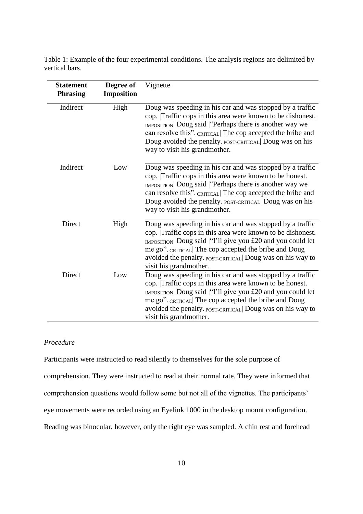I'M SURE WE CAN COME TO SOME SORT OF vertical bars. Table 1: Example of the four experimental conditions. The analysis regions are delimited by

| <b>Statement</b><br><b>Phrasing</b> | Degree of<br><b>Imposition</b> | Vignette                                                                                                                                                                                                                                                                                                                                          |
|-------------------------------------|--------------------------------|---------------------------------------------------------------------------------------------------------------------------------------------------------------------------------------------------------------------------------------------------------------------------------------------------------------------------------------------------|
| Indirect                            | High                           | Doug was speeding in his car and was stopped by a traffic<br>cop. Traffic cops in this area were known to be dishonest.<br><b>IMPOSITION</b> Doug said "Perhaps there is another way we<br>can resolve this". CRITICAL The cop accepted the bribe and<br>Doug avoided the penalty. POST-CRITICAL Doug was on his<br>way to visit his grandmother. |
| Indirect                            | Low                            | Doug was speeding in his car and was stopped by a traffic<br>cop. Traffic cops in this area were known to be honest.<br>IMPOSITION Doug said   "Perhaps there is another way we<br>can resolve this". CRITICAL The cop accepted the bribe and<br>Doug avoided the penalty. POST-CRITICAL Doug was on his<br>way to visit his grand mother.        |
| Direct                              | High                           | Doug was speeding in his car and was stopped by a traffic<br>cop. Traffic cops in this area were known to be dishonest.<br>IMPOSITION Doug said "I'll give you £20 and you could let<br>me go". CRITICAL The cop accepted the bribe and Doug<br>avoided the penalty. POST-CRITICAL Doug was on his way to<br>visit his grandmother.               |
| Direct                              | Low                            | Doug was speeding in his car and was stopped by a traffic<br>cop. Traffic cops in this area were known to be honest.<br>IMPOSITION Doug said "I'll give you £20 and you could let<br>me go". CRITICAL The cop accepted the bribe and Doug<br>avoided the penalty. POST-CRITICAL Doug was on his way to<br>visit his grandmother.                  |

# *Procedure*

Participants were instructed to read silently to themselves for the sole purpose of comprehension. They were instructed to read at their normal rate. They were informed that comprehension questions would follow some but not all of the vignettes. The participants' eye movements were recorded using an Eyelink 1000 in the desktop mount configuration. Reading was binocular, however, only the right eye was sampled. A chin rest and forehead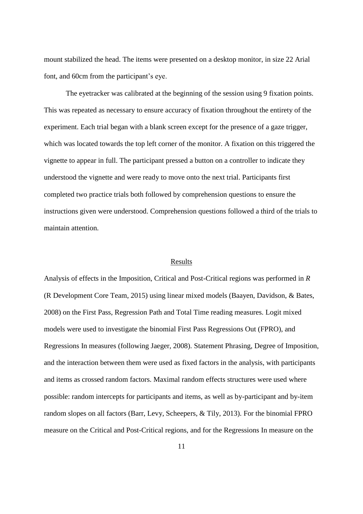mount stabilized the head. The items were presented on a desktop monitor, in size 22 Arial font, and 60cm from the participant's eye.

The eyetracker was calibrated at the beginning of the session using 9 fixation points. This was repeated as necessary to ensure accuracy of fixation throughout the entirety of the experiment. Each trial began with a blank screen except for the presence of a gaze trigger, which was located towards the top left corner of the monitor. A fixation on this triggered the vignette to appear in full. The participant pressed a button on a controller to indicate they understood the vignette and were ready to move onto the next trial. Participants first completed two practice trials both followed by comprehension questions to ensure the instructions given were understood. Comprehension questions followed a third of the trials to maintain attention.

## **Results**

Analysis of effects in the Imposition, Critical and Post-Critical regions was performed in *R* (R Development Core Team, 2015) using linear mixed models (Baayen, Davidson, & Bates, 2008) on the First Pass, Regression Path and Total Time reading measures. Logit mixed models were used to investigate the binomial First Pass Regressions Out (FPRO), and Regressions In measures (following Jaeger, 2008). Statement Phrasing, Degree of Imposition, and the interaction between them were used as fixed factors in the analysis, with participants and items as crossed random factors. Maximal random effects structures were used where possible: random intercepts for participants and items, as well as by-participant and by-item random slopes on all factors (Barr, Levy, Scheepers, & Tily, 2013). For the binomial FPRO measure on the Critical and Post-Critical regions, and for the Regressions In measure on the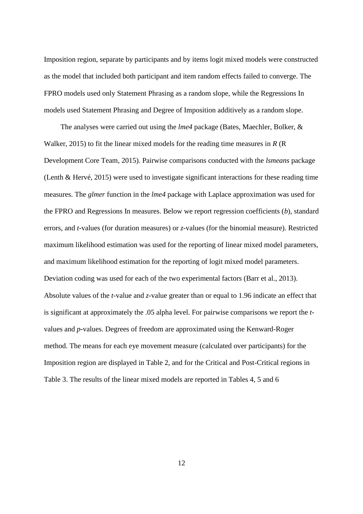I'M SURE WE CAN COME TO SOME SORT OF ARRANGEMENT Imposition region, separate by participants and by items logit mixed models were constructed as the model that included both participant and item random effects failed to converge. The FPRO models used only Statement Phrasing as a random slope, while the Regressions In models used Statement Phrasing and Degree of Imposition additively as a random slope.

The analyses were carried out using the *lme4* package (Bates, Maechler, Bolker, & Walker, 2015) to fit the linear mixed models for the reading time measures in *R* (R Development Core Team, 2015). Pairwise comparisons conducted with the *lsmeans* package (Lenth & Hervé, 2015) were used to investigate significant interactions for these reading time measures. The *glmer* function in the *lme4* package with Laplace approximation was used for the FPRO and Regressions In measures. Below we report regression coefficients (*b*), standard errors, and *t*-values (for duration measures) or *z*-values (for the binomial measure). Restricted maximum likelihood estimation was used for the reporting of linear mixed model parameters, and maximum likelihood estimation for the reporting of logit mixed model parameters. Deviation coding was used for each of the two experimental factors (Barr et al., 2013). Absolute values of the *t*-value and *z*-value greater than or equal to 1.96 indicate an effect that is significant at approximately the .05 alpha level. For pairwise comparisons we report the *t*values and *p*-values. Degrees of freedom are approximated using the Kenward-Roger method. The means for each eye movement measure (calculated over participants) for the Imposition region are displayed in Table 2, and for the Critical and Post-Critical regions in Table 3. The results of the linear mixed models are reported in Tables 4, 5 and 6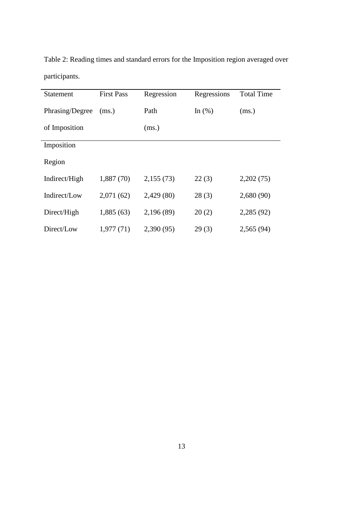| <b>Statement</b> | <b>First Pass</b> | Regression | Regressions | <b>Total Time</b> |
|------------------|-------------------|------------|-------------|-------------------|
| Phrasing/Degree  | (ms.)             | Path       | In $(\%)$   | (ms.)             |
| of Imposition    |                   | (ms.)      |             |                   |
| Imposition       |                   |            |             |                   |
| Region           |                   |            |             |                   |
| Indirect/High    | 1,887(70)         | 2,155(73)  | 22(3)       | 2,202(75)         |
| Indirect/Low     | 2,071(62)         | 2,429(80)  | 28(3)       | 2,680(90)         |
| Direct/High      | 1,885(63)         | 2,196 (89) | 20(2)       | 2,285 (92)        |
| Direct/Low       | 1,977(71)         | 2,390(95)  | 29(3)       | 2,565(94)         |

Table 2: Reading times and standard errors for the Imposition region averaged over participants.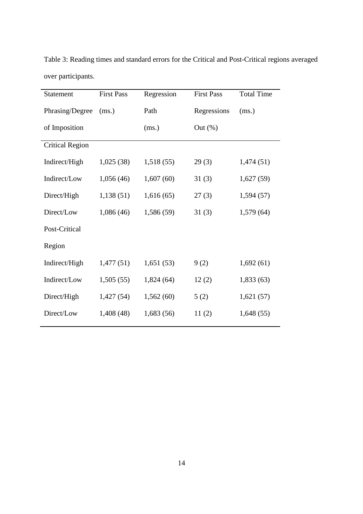| Statement              | <b>First Pass</b> | Regression | <b>First Pass</b> | <b>Total Time</b> |
|------------------------|-------------------|------------|-------------------|-------------------|
| Phrasing/Degree        | (ms.)             | Path       | Regressions       | (ms.)             |
| of Imposition          |                   | (ms.)      | Out $(\%)$        |                   |
| <b>Critical Region</b> |                   |            |                   |                   |
| Indirect/High          | 1,025(38)         | 1,518(55)  | 29(3)             | 1,474(51)         |
| Indirect/Low           | 1,056(46)         | 1,607(60)  | 31(3)             | 1,627(59)         |
| Direct/High            | 1,138(51)         | 1,616(65)  | 27(3)             | 1,594(57)         |
| Direct/Low             | 1,086 (46)        | 1,586 (59) | 31(3)             | 1,579(64)         |
| Post-Critical          |                   |            |                   |                   |
| Region                 |                   |            |                   |                   |
| Indirect/High          | 1,477(51)         | 1,651(53)  | 9(2)              | 1,692(61)         |
| Indirect/Low           | 1,505(55)         | 1,824(64)  | 12(2)             | 1,833(63)         |
| Direct/High            | 1,427(54)         | 1,562(60)  | 5(2)              | 1,621(57)         |
| Direct/Low             | 1,408 (48)        | 1,683(56)  | 11(2)             | 1,648(55)         |

I'M SURE WE CAN COME TO SOME SORT OF ARRANGEMENT Table 3: Reading times and standard errors for the Critical and Post-Critical regions averaged over participants.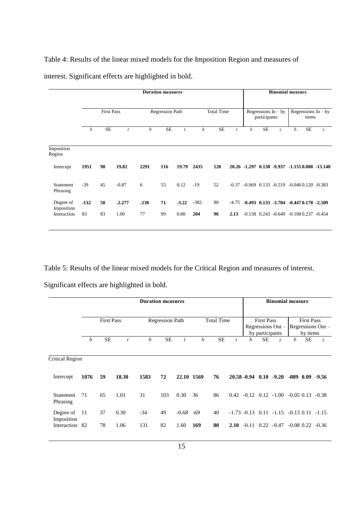Table 4: Results of the linear mixed models for the Imposition Region and measures of interest. Significant effects are highlighted in bold.

|                | <b>Binomial measure</b>                             |                                       |           |   | <b>Duration measures</b> |           |        |                        |           |        |                   |           |        |                       |  |
|----------------|-----------------------------------------------------|---------------------------------------|-----------|---|--------------------------|-----------|--------|------------------------|-----------|--------|-------------------|-----------|--------|-----------------------|--|
|                | Regressions $In - by$<br>items                      | Regressions $In - by$<br>participants |           |   | <b>Total Time</b>        |           |        | <b>Regression Path</b> |           |        | <b>First Pass</b> |           |        |                       |  |
| $\overline{z}$ | b<br><b>SE</b>                                      | $\overline{z}$                        | <b>SE</b> | b | $\boldsymbol{t}$         | <b>SE</b> | b      | t                      | <b>SE</b> | b      | $\dot{t}$         | <b>SE</b> | b      |                       |  |
|                |                                                     |                                       |           |   |                          |           |        |                        |           |        |                   |           |        | Imposition<br>Region  |  |
|                | 20.26 -1.297 0.138 -9.937 -1.155 0.088 -13.148      |                                       |           |   |                          | 120       | 2435   | 19.79                  | 116       | 2291   | 19.82             | 98        | 1951   | Intercept             |  |
|                | $-0.069$ $0.133$ $-0.519$ $-0.046$ $0.120$ $-0.383$ |                                       |           |   | $-0.37$                  | 52        | $-19$  | 0.12                   | 55        | 6      | $-0.87$           | 45        | $-39$  | Statement<br>Phrasing |  |
|                | $-0.493$ $0.133$ $-3.704$ $-0.447$ $0.178$ $-2.509$ |                                       |           |   | $-4.75$                  | 80        | $-382$ | $-3.22$                | 71        | $-230$ | $-2.277$          | 58        | $-132$ | Degree of             |  |
|                | $-0.158$ $0.243$ $-0.649$ $-0.108$ $0.237$ $-0.454$ |                                       |           |   | 2.13                     | 96        | 204    | 0.80                   | 99        | 77     | 1.00              | 83        | 83     | Interaction           |  |
|                |                                                     |                                       |           |   |                          |           |        |                        |           |        |                   |           |        | Imposition            |  |

Table 5: Results of the linear mixed models for the Critical Region and measures of interest.

Significant effects are highlighted in bold.

|                           | <b>Duration measures</b> |           |       |                        |           |            |                   |           |      |   |                                      | <b>Binomial measure</b>                               |                                                    |           |                       |
|---------------------------|--------------------------|-----------|-------|------------------------|-----------|------------|-------------------|-----------|------|---|--------------------------------------|-------------------------------------------------------|----------------------------------------------------|-----------|-----------------------|
|                           | <b>First Pass</b>        |           |       | <b>Regression Path</b> |           |            | <b>Total Time</b> |           |      |   | <b>First Pass</b><br>by participants | Regressions Out -                                     | <b>First Pass</b><br>Regressions Out -<br>by items |           |                       |
|                           | b                        | <b>SE</b> |       | h                      | <b>SE</b> |            | h                 | <b>SE</b> |      | h | SЕ                                   | $\overline{z}$                                        | h                                                  | <b>SE</b> | $\overline{z}$        |
| <b>Critical Region</b>    |                          |           |       |                        |           |            |                   |           |      |   |                                      |                                                       |                                                    |           |                       |
| Intercept                 | 1076                     | 59        | 18.30 | 1583                   | 72        | 22.10 1569 |                   | 76        |      |   |                                      | $20.58 - 0.94$ 0.10 $-9.20$                           |                                                    |           | $-089$ $0.09$ $-9.56$ |
| Statement<br>Phrasing     | 71                       | 65        | 1.01  | 31                     | 103       | 0.30       | 36                | 86        |      |   |                                      | $0.42 -0.12$ $0.12 -1.00$                             |                                                    |           | $-0.05$ 0.13 $-0.38$  |
| Degree of                 | -11                      | 37        | 0.30  | $-34$                  | 49        | $-0.68$    | -69               | 40        |      |   |                                      | $-1.73$ $-0.13$ $0.11$ $-1.15$ $-0.13$ $0.11$ $-1.15$ |                                                    |           |                       |
| Imposition<br>Interaction | -82                      | 78        | 1.06  | 131                    | 82        | 1.60       | 169               | 80        | 2.10 |   |                                      | $-0.11$ $0.22$ $-0.47$                                |                                                    |           | $-0.08$ 0.22 $-0.36$  |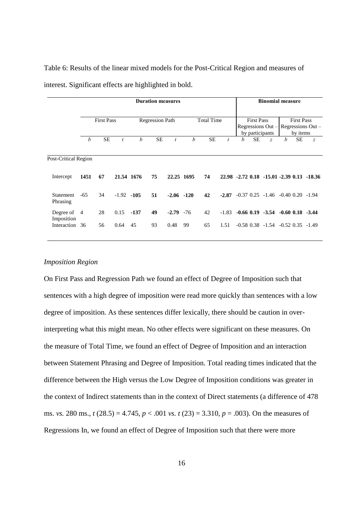|                         | <b>Duration measures</b> |           |               |                        |           |               |                   |           |         |                                                             |           | <b>Binomial measure</b>                       |                                                    |           |                                           |
|-------------------------|--------------------------|-----------|---------------|------------------------|-----------|---------------|-------------------|-----------|---------|-------------------------------------------------------------|-----------|-----------------------------------------------|----------------------------------------------------|-----------|-------------------------------------------|
|                         | <b>First Pass</b>        |           |               | <b>Regression Path</b> |           |               | <b>Total Time</b> |           |         | <b>First Pass</b><br>Regressions Out $-$<br>by participants |           |                                               | <b>First Pass</b><br>Regressions Out -<br>by items |           |                                           |
|                         | $\boldsymbol{b}$         | <b>SE</b> | t             | h                      | <b>SE</b> | t             | h                 | <b>SE</b> | t       | b                                                           | <b>SE</b> | $\overline{z}$                                | h                                                  | <b>SE</b> | $\boldsymbol{z}$                          |
| Post-Critical Region    |                          |           |               |                        |           |               |                   |           |         |                                                             |           |                                               |                                                    |           |                                           |
| Intercept               | 1451                     | 67        | 21.54 1676    |                        | 75        | 22.25 1695    |                   | 74        |         |                                                             |           |                                               |                                                    |           | 22.98 -2.72 0.18 -15.01 -2.39 0.13 -18.36 |
| Statement<br>Phrasing   | $-65$                    | 34        | $-1.92 - 105$ |                        | 51        | $-2.06 - 120$ |                   | 42        | $-2.87$ |                                                             |           | $-0.37$ $0.25$ $-1.46$ $-0.40$ $0.20$ $-1.94$ |                                                    |           |                                           |
| Degree of<br>Imposition | -4                       | 28        | 0.15          | $-137$                 | 49        | $-2.79$       | $-76$             | 42        | $-1.83$ |                                                             |           | $-0.66$ 0.19 $-3.54$ $-0.60$ 0.18 $-3.44$     |                                                    |           |                                           |
| Interaction 36          |                          | 56        | 0.64          | 45                     | 93        | 0.48          | 99                | 65        | 1.51    |                                                             |           | $-0.58$ $0.38$ $-1.54$ $-0.52$ $0.35$ $-1.49$ |                                                    |           |                                           |

Table 6: Results of the linear mixed models for the Post-Critical Region and measures of interest. Significant effects are highlighted in bold.

# *Imposition Region*

On First Pass and Regression Path we found an effect of Degree of Imposition such that sentences with a high degree of imposition were read more quickly than sentences with a low degree of imposition. As these sentences differ lexically, there should be caution in overinterpreting what this might mean. No other effects were significant on these measures. On the measure of Total Time, we found an effect of Degree of Imposition and an interaction between Statement Phrasing and Degree of Imposition. Total reading times indicated that the difference between the High versus the Low Degree of Imposition conditions was greater in the context of Indirect statements than in the context of Direct statements (a difference of 478 ms. *vs.* 280 ms., *t* (28.5) = 4.745, *p* < .001 *vs. t* (23) = 3.310, *p* = .003). On the measures of Regressions In, we found an effect of Degree of Imposition such that there were more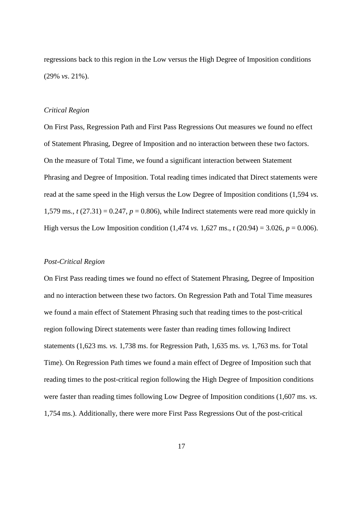regressions back to this region in the Low versus the High Degree of Imposition conditions (29% *vs*. 21%).

# *Critical Region*

On First Pass, Regression Path and First Pass Regressions Out measures we found no effect of Statement Phrasing, Degree of Imposition and no interaction between these two factors. On the measure of Total Time, we found a significant interaction between Statement Phrasing and Degree of Imposition. Total reading times indicated that Direct statements were read at the same speed in the High versus the Low Degree of Imposition conditions (1,594 *vs.* 1,579 ms.,  $t(27.31) = 0.247$ ,  $p = 0.806$ ), while Indirect statements were read more quickly in High versus the Low Imposition condition  $(1,474 \text{ vs. } 1,627 \text{ ms.}, t (20.94) = 3.026, p = 0.006)$ .

### *Post-Critical Region*

On First Pass reading times we found no effect of Statement Phrasing, Degree of Imposition and no interaction between these two factors. On Regression Path and Total Time measures we found a main effect of Statement Phrasing such that reading times to the post-critical region following Direct statements were faster than reading times following Indirect statements (1,623 ms*. vs.* 1,738 ms. for Regression Path, 1,635 ms. *vs.* 1,763 ms. for Total Time). On Regression Path times we found a main effect of Degree of Imposition such that reading times to the post-critical region following the High Degree of Imposition conditions were faster than reading times following Low Degree of Imposition conditions (1,607 ms. *vs.* 1,754 ms.). Additionally, there were more First Pass Regressions Out of the post-critical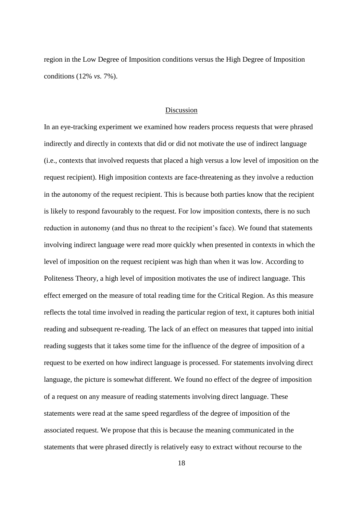I'M SURE WE CAN COME TO SOME SORT OF ARRANGEMENT region in the Low Degree of Imposition conditions versus the High Degree of Imposition conditions (12% *vs.* 7%).

# Discussion

In an eye-tracking experiment we examined how readers process requests that were phrased indirectly and directly in contexts that did or did not motivate the use of indirect language (i.e., contexts that involved requests that placed a high versus a low level of imposition on the request recipient). High imposition contexts are face-threatening as they involve a reduction in the autonomy of the request recipient. This is because both parties know that the recipient is likely to respond favourably to the request. For low imposition contexts, there is no such reduction in autonomy (and thus no threat to the recipient's face). We found that statements involving indirect language were read more quickly when presented in contexts in which the level of imposition on the request recipient was high than when it was low. According to Politeness Theory, a high level of imposition motivates the use of indirect language. This effect emerged on the measure of total reading time for the Critical Region. As this measure reflects the total time involved in reading the particular region of text, it captures both initial reading and subsequent re-reading. The lack of an effect on measures that tapped into initial reading suggests that it takes some time for the influence of the degree of imposition of a request to be exerted on how indirect language is processed. For statements involving direct language, the picture is somewhat different. We found no effect of the degree of imposition of a request on any measure of reading statements involving direct language. These statements were read at the same speed regardless of the degree of imposition of the associated request. We propose that this is because the meaning communicated in the statements that were phrased directly is relatively easy to extract without recourse to the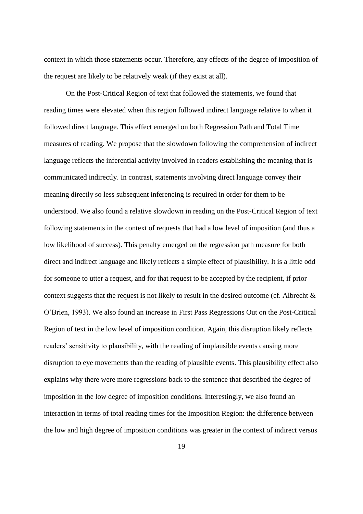context in which those statements occur. Therefore, any effects of the degree of imposition of the request are likely to be relatively weak (if they exist at all).

On the Post-Critical Region of text that followed the statements, we found that reading times were elevated when this region followed indirect language relative to when it followed direct language. This effect emerged on both Regression Path and Total Time measures of reading. We propose that the slowdown following the comprehension of indirect language reflects the inferential activity involved in readers establishing the meaning that is communicated indirectly. In contrast, statements involving direct language convey their meaning directly so less subsequent inferencing is required in order for them to be understood. We also found a relative slowdown in reading on the Post-Critical Region of text following statements in the context of requests that had a low level of imposition (and thus a low likelihood of success). This penalty emerged on the regression path measure for both direct and indirect language and likely reflects a simple effect of plausibility. It is a little odd for someone to utter a request, and for that request to be accepted by the recipient, if prior context suggests that the request is not likely to result in the desired outcome (cf. Albrecht & O'Brien, 1993). We also found an increase in First Pass Regressions Out on the Post-Critical Region of text in the low level of imposition condition. Again, this disruption likely reflects readers' sensitivity to plausibility, with the reading of implausible events causing more disruption to eye movements than the reading of plausible events. This plausibility effect also explains why there were more regressions back to the sentence that described the degree of imposition in the low degree of imposition conditions. Interestingly, we also found an interaction in terms of total reading times for the Imposition Region: the difference between the low and high degree of imposition conditions was greater in the context of indirect versus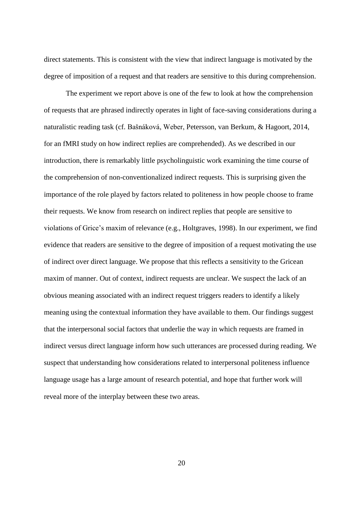I'M SURE WE CAN COME TO SOME SORT OF ARRANGEMENT direct statements. This is consistent with the view that indirect language is motivated by the degree of imposition of a request and that readers are sensitive to this during comprehension.

The experiment we report above is one of the few to look at how the comprehension of requests that are phrased indirectly operates in light of face-saving considerations during a naturalistic reading task (cf. Bašnáková, Weber, Petersson, van Berkum, & Hagoort, 2014, for an fMRI study on how indirect replies are comprehended). As we described in our introduction, there is remarkably little psycholinguistic work examining the time course of the comprehension of non-conventionalized indirect requests. This is surprising given the importance of the role played by factors related to politeness in how people choose to frame their requests. We know from research on indirect replies that people are sensitive to violations of Grice's maxim of relevance (e.g., Holtgraves, 1998). In our experiment, we find evidence that readers are sensitive to the degree of imposition of a request motivating the use of indirect over direct language. We propose that this reflects a sensitivity to the Gricean maxim of manner. Out of context, indirect requests are unclear. We suspect the lack of an obvious meaning associated with an indirect request triggers readers to identify a likely meaning using the contextual information they have available to them. Our findings suggest that the interpersonal social factors that underlie the way in which requests are framed in indirect versus direct language inform how such utterances are processed during reading. We suspect that understanding how considerations related to interpersonal politeness influence language usage has a large amount of research potential, and hope that further work will reveal more of the interplay between these two areas.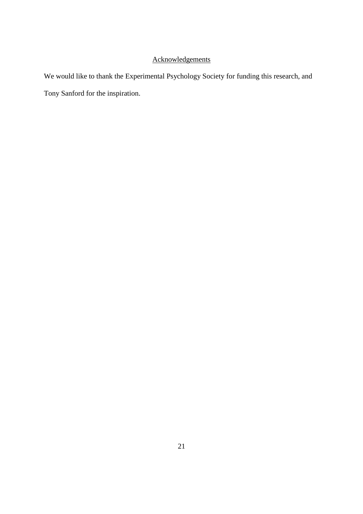# Acknowledgements

We would like to thank the Experimental Psychology Society for funding this research, and Tony Sanford for the inspiration.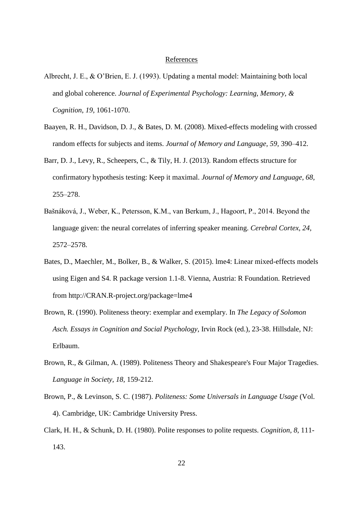#### I'M SURE WE CAN COME TO SOME SORT OF References

- ARRANGEMENT Albrecht, J. E., & O'Brien, E. J. (1993). Updating a mental model: Maintaining both local and global coherence. *Journal of Experimental Psychology: Learning, Memory, & Cognition*, *19,* 1061-1070.
- Baayen, R. H., Davidson, D. J., & Bates, D. M. (2008). Mixed-effects modeling with crossed random effects for subjects and items. *Journal of Memory and Language, 59,* 390–412.
- Barr, D. J., Levy, R., Scheepers, C., & Tily, H. J. (2013). Random effects structure for confirmatory hypothesis testing: Keep it maximal. *Journal of Memory and Language, 68,* 255–278.
- Bašnáková, J., Weber, K., Petersson, K.M., van Berkum, J., Hagoort, P., 2014. Beyond the language given: the neural correlates of inferring speaker meaning. *Cerebral Cortex, 24,*  2572–2578.
- Bates, D., Maechler, M., Bolker, B., & Walker, S. (2015). lme4: Linear mixed-effects models using Eigen and S4. R package version 1.1-8. Vienna, Austria: R Foundation. Retrieved from http://CRAN.R-project.org/package=lme4
- Brown, R. (1990). Politeness theory: exemplar and exemplary. In *The Legacy of Solomon Asch. Essays in Cognition and Social Psychology*, Irvin Rock (ed.), 23-38. Hillsdale, NJ: Erlbaum.
- Brown, R., & Gilman, A. (1989). Politeness Theory and Shakespeare's Four Major Tragedies. *Language in Society, 18,* 159-212.
- Brown, P., & Levinson, S. C. (1987). *Politeness: Some Universals in Language Usage* (Vol. 4). Cambridge, UK: Cambridge University Press.
- Clark, H. H., & Schunk, D. H. (1980). Polite responses to polite requests. *Cognition, 8,* 111- 143.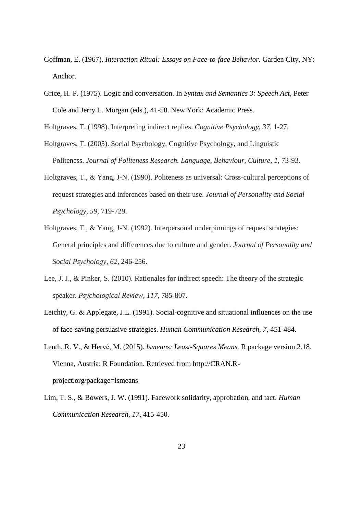- Goffman, E. (1967). *Interaction Ritual: Essays on Face-to-face Behavior.* Garden City, NY: Anchor.
- Grice, H. P. (1975). Logic and conversation. In *Syntax and Semantics 3: Speech Act,* Peter Cole and Jerry L. Morgan (eds.), 41-58. New York: Academic Press.

Holtgraves, T. (1998). Interpreting indirect replies. *Cognitive Psychology*, *37*, 1-27.

- Holtgraves, T. (2005). Social Psychology, Cognitive Psychology, and Linguistic Politeness. *Journal of Politeness Research. Language, Behaviour, Culture*, *1*, 73-93.
- Holtgraves, T., & Yang, J-N. (1990). Politeness as universal: Cross-cultural perceptions of request strategies and inferences based on their use. *Journal of Personality and Social Psychology, 59,* 719-729.
- Holtgraves, T., & Yang, J-N. (1992). Interpersonal underpinnings of request strategies: General principles and differences due to culture and gender. *Journal of Personality and Social Psychology*, *62*, 246-256.
- Lee, J. J., & Pinker, S. (2010). Rationales for indirect speech: The theory of the strategic speaker. *Psychological Review*, *117*, 785-807.
- Leichty, G. & Applegate, J.L. (1991). Social-cognitive and situational influences on the use of face-saving persuasive strategies. *Human Communication Research, 7,* 451-484.
- Lenth, R. V., & Hervé, M. (2015). *Ismeans: Least-Squares Means*. R package version 2.18. Vienna, Austria: R Foundation. Retrieved from http://CRAN.Rproject.org/package=lsmeans
- Lim, T. S., & Bowers, J. W. (1991). Facework solidarity, approbation, and tact. *Human Communication Research, 17,* 415-450.